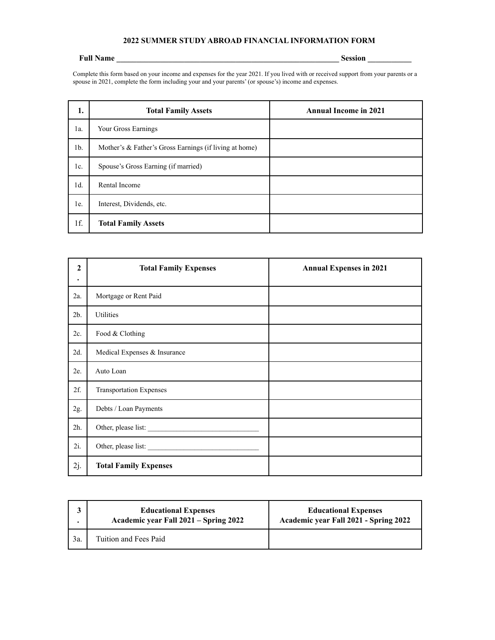## **2022 SUMMER STUDY ABROAD FINANCIAL INFORMATION FORM**

## **Full Name \_\_\_\_\_\_\_\_\_\_\_\_\_\_\_\_\_\_\_\_\_\_\_\_\_\_\_\_\_\_\_\_\_\_\_\_\_\_\_\_\_\_\_\_\_\_\_\_\_\_\_\_\_\_\_\_ Session \_\_\_\_\_\_\_\_\_\_\_**

Complete this form based on your income and expenses for the year 2021. If you lived with or received support from your parents or a spouse in 2021, complete the form including your and your parents' (or spouse's) income and expenses.

| 1.     | <b>Total Family Assets</b>                             | <b>Annual Income in 2021</b> |
|--------|--------------------------------------------------------|------------------------------|
| 1a.    | Your Gross Earnings                                    |                              |
| $1b$ . | Mother's & Father's Gross Earnings (if living at home) |                              |
| 1c.    | Spouse's Gross Earning (if married)                    |                              |
| $1d$ . | Rental Income                                          |                              |
| 1e.    | Interest, Dividends, etc.                              |                              |
| 1f.    | <b>Total Family Assets</b>                             |                              |

| $\mathbf{2}$<br>$\bullet$ | <b>Total Family Expenses</b>   | <b>Annual Expenses in 2021</b> |
|---------------------------|--------------------------------|--------------------------------|
| 2a.                       | Mortgage or Rent Paid          |                                |
| 2 <sub>b</sub>            | Utilities                      |                                |
| $2c$ .                    | Food & Clothing                |                                |
| $2d$ .                    | Medical Expenses & Insurance   |                                |
| 2e.                       | Auto Loan                      |                                |
| 2f.                       | <b>Transportation Expenses</b> |                                |
| 2g.                       | Debts / Loan Payments          |                                |
| 2h.                       | Other, please list:            |                                |
| $2i$ .                    | Other, please list:            |                                |
| 2j.                       | <b>Total Family Expenses</b>   |                                |

|     | <b>Educational Expenses</b><br>Academic year Fall 2021 – Spring 2022 | <b>Educational Expenses</b><br>Academic year Fall 2021 - Spring 2022 |
|-----|----------------------------------------------------------------------|----------------------------------------------------------------------|
| 3a. | Tuition and Fees Paid                                                |                                                                      |